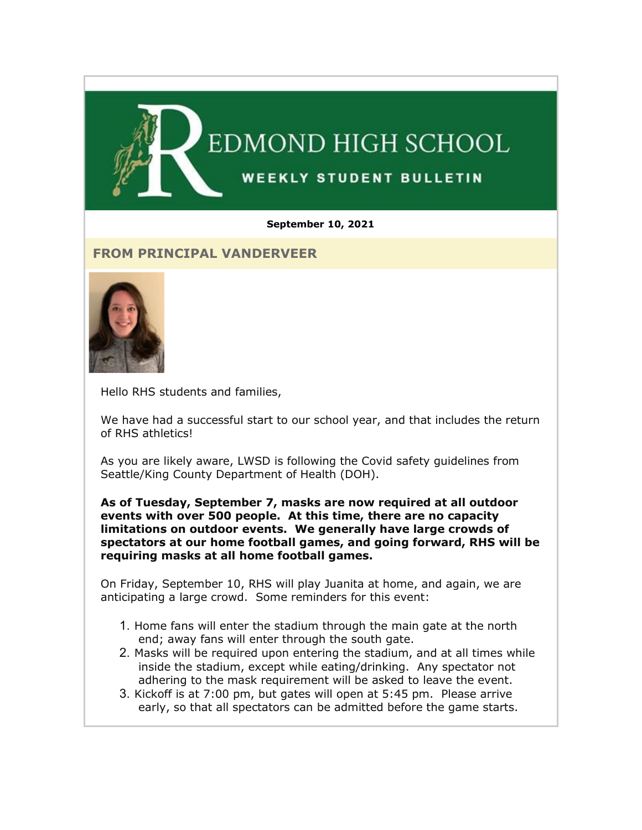

#### **September 10, 2021**

### **FROM PRINCIPAL VANDERVEER**



Hello RHS students and families,

We have had a successful start to our school year, and that includes the return of RHS athletics!

As you are likely aware, LWSD is following the Covid safety guidelines from Seattle/King County Department of Health (DOH).

**As of Tuesday, September 7, masks are now required at all outdoor events with over 500 people. At this time, there are no capacity limitations on outdoor events. We generally have large crowds of spectators at our home football games, and going forward, RHS will be requiring masks at all home football games.**

On Friday, September 10, RHS will play Juanita at home, and again, we are anticipating a large crowd. Some reminders for this event:

- 1. Home fans will enter the stadium through the main gate at the north end; away fans will enter through the south gate.
- 2. Masks will be required upon entering the stadium, and at all times while inside the stadium, except while eating/drinking. Any spectator not adhering to the mask requirement will be asked to leave the event.
- 3. Kickoff is at 7:00 pm, but gates will open at 5:45 pm. Please arrive early, so that all spectators can be admitted before the game starts.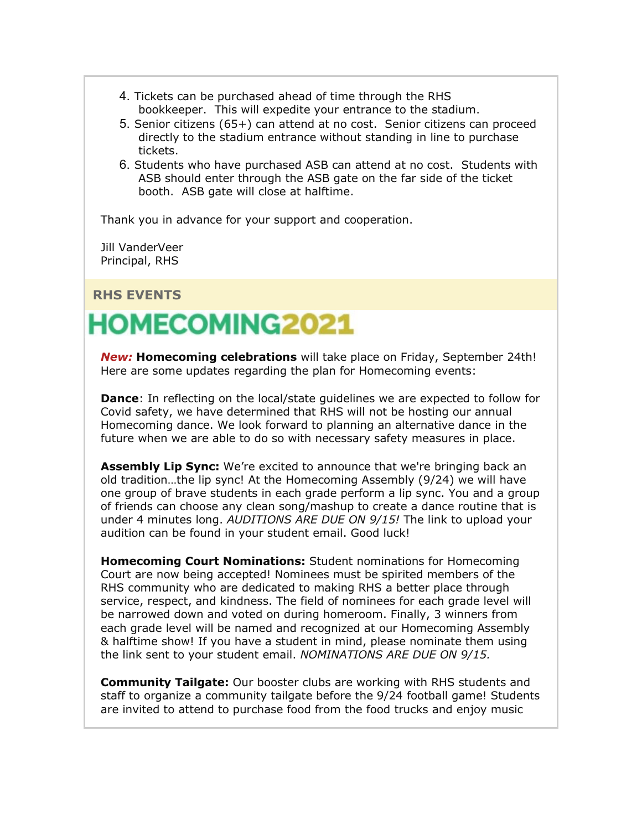- 4. Tickets can be purchased ahead of time through the RHS bookkeeper. This will expedite your entrance to the stadium.
- 5. Senior citizens (65+) can attend at no cost. Senior citizens can proceed directly to the stadium entrance without standing in line to purchase tickets.
- 6. Students who have purchased ASB can attend at no cost. Students with ASB should enter through the ASB gate on the far side of the ticket booth. ASB gate will close at halftime.

Thank you in advance for your support and cooperation.

Jill VanderVeer Principal, RHS

**RHS EVENTS**

# **HOMECOMING2021**

*New:* **Homecoming celebrations** will take place on Friday, September 24th! Here are some updates regarding the plan for Homecoming events:

**Dance**: In reflecting on the local/state guidelines we are expected to follow for Covid safety, we have determined that RHS will not be hosting our annual Homecoming dance. We look forward to planning an alternative dance in the future when we are able to do so with necessary safety measures in place.

**Assembly Lip Sync:** We're excited to announce that we're bringing back an old tradition…the lip sync! At the Homecoming Assembly (9/24) we will have one group of brave students in each grade perform a lip sync. You and a group of friends can choose any clean song/mashup to create a dance routine that is under 4 minutes long. *AUDITIONS ARE DUE ON 9/15!* The link to upload your audition can be found in your student email. Good luck!

**Homecoming Court Nominations:** Student nominations for Homecoming Court are now being accepted! Nominees must be spirited members of the RHS community who are dedicated to making RHS a better place through service, respect, and kindness. The field of nominees for each grade level will be narrowed down and voted on during homeroom. Finally, 3 winners from each grade level will be named and recognized at our Homecoming Assembly & halftime show! If you have a student in mind, please nominate them using the link sent to your student email. *NOMINATIONS ARE DUE ON 9/15.*

**Community Tailgate:** Our booster clubs are working with RHS students and staff to organize a community tailgate before the 9/24 football game! Students are invited to attend to purchase food from the food trucks and enjoy music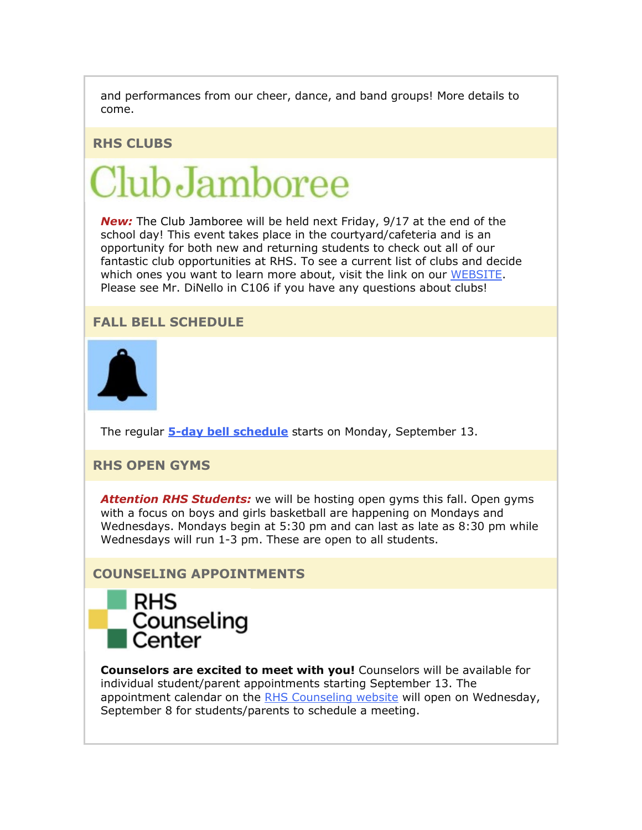and performances from our cheer, dance, and band groups! More details to come.

#### **RHS CLUBS**

# $Club$ Jamboree

*New:* The Club Jamboree will be held next Friday, 9/17 at the end of the school day! This event takes place in the courtyard/cafeteria and is an opportunity for both new and returning students to check out all of our fantastic club opportunities at RHS. To see a current list of clubs and decide which ones you want to learn more about, visit the link on our [WEBSITE.](https://nam02.safelinks.protection.outlook.com/?url=http%3A%2F%2Flink.email.dynect.net%2Flink.php%3FDynEngagement%3Dtrue%26H%3DqJ9juQrYQnx6GiLoZRCFRfx5vplALQMA1LebiplKf4hGV%252BKL2V1i%252FpsnU5wziHTky2OAVCYErSQjJNfuPQ8BYABNCx127YhnhfJoZEK8Ld9LqCtbAwVFrg%253D%253D%26G%3D0%26R%3Dhttps%253A%252F%252FRHPLGYZTANA.hatchbuck.com%252FTrackLinkClick%253FID2%253DI3dBPSO_Q21YxoeilUjhPQvxrfWsqIl8zhkY4Q8HazrcuCnJ6ISgSwo6hzr5gmwc0%26I%3D20210910220235.000000005bb6%2540mail6-42-ussnn1%26X%3DMHwxMjY0OTIyOjIxODc5NzczMzc7MXwxMjY0OTIzOjE3NDk0OTY2ODs%253D%26V%3D3%26S%3DXd8B_lHp_XvB_ln2aObit4QFv3Mxg1LV9Ph4VlQzA5A&data=04%7C01%7Cmwood%40lwsd.org%7C9707f8195e3c4e4c601f08d974a6b7d0%7C1fd4673fdf9646218638a1d88c4c85d7%7C0%7C0%7C637669081689461436%7CUnknown%7CTWFpbGZsb3d8eyJWIjoiMC4wLjAwMDAiLCJQIjoiV2luMzIiLCJBTiI6Ik1haWwiLCJXVCI6Mn0%3D%7C1000&sdata=4EdkFYBEg9vzDsL66GEROmMENKlt%2BLpf8AZLpQhwH08%3D&reserved=0) Please see Mr. DiNello in C106 if you have any questions about clubs!

### **FALL BELL SCHEDULE**



The regular **[5-day bell schedule](https://nam02.safelinks.protection.outlook.com/?url=http%3A%2F%2Flink.email.dynect.net%2Flink.php%3FDynEngagement%3Dtrue%26H%3DqJ9juQrYQnx6GiLoZRCFRfx5vplALQMA1LebiplKf4hGV%252BKL2V1i%252FpsnU5wziHTky2OAVCYErSQjJNfuPQ8BYABNCx127YhnhfJoZEK8Ld9LqCtbAwVFrg%253D%253D%26G%3D0%26R%3Dhttps%253A%252F%252FRHPLGYZTANA.hatchbuck.com%252FTrackLinkClick%253FID2%253Df67cE4gg5CIWPZ7-YSOWo8F969X_UYmH7wFvELJdy1QZJT_A4s5Ftbt30mNCnEBz0%26I%3D20210910220235.000000005bb6%2540mail6-42-ussnn1%26X%3DMHwxMjY0OTIyOjIxODc5NzczMzc7MXwxMjY0OTIzOjE3NDk0OTY2ODs%253D%26V%3D3%26S%3D46p86QZNkGSaVNrkWftQNz6c8LK6bWgx7qO_3Ut27Zo&data=04%7C01%7Cmwood%40lwsd.org%7C9707f8195e3c4e4c601f08d974a6b7d0%7C1fd4673fdf9646218638a1d88c4c85d7%7C0%7C0%7C637669081689471435%7CUnknown%7CTWFpbGZsb3d8eyJWIjoiMC4wLjAwMDAiLCJQIjoiV2luMzIiLCJBTiI6Ik1haWwiLCJXVCI6Mn0%3D%7C1000&sdata=v%2FB5i5EWakjLBMERDkw4q3nYGXE2RRMIR7Vx0mtRIIA%3D&reserved=0)** starts on Monday, September 13.

## **RHS OPEN GYMS**

*Attention RHS Students:* we will be hosting open gyms this fall. Open gyms with a focus on boys and girls basketball are happening on Mondays and Wednesdays. Mondays begin at 5:30 pm and can last as late as 8:30 pm while Wednesdays will run 1-3 pm. These are open to all students.

#### **COUNSELING APPOINTMENTS**



**Counselors are excited to meet with you!** Counselors will be available for individual student/parent appointments starting September 13. The appointment calendar on the [RHS Counseling website](https://nam02.safelinks.protection.outlook.com/?url=http%3A%2F%2Flink.email.dynect.net%2Flink.php%3FDynEngagement%3Dtrue%26H%3DqJ9juQrYQnx6GiLoZRCFRfx5vplALQMA1LebiplKf4hGV%252BKL2V1i%252FpsnU5wziHTky2OAVCYErSQjJNfuPQ8BYABNCx127YhnhfJoZEK8Ld9LqCtbAwVFrg%253D%253D%26G%3D0%26R%3Dhttps%253A%252F%252FRHPLGYZTANA.hatchbuck.com%252FTrackLinkClick%253FID2%253DLUNhYE9kNwgIEwPrk0uG01txF-C6L15E15c5cIBwvZuOZsV_dSDQHeRjUcW-6J_N0%26I%3D20210910220235.000000005bb6%2540mail6-42-ussnn1%26X%3DMHwxMjY0OTIyOjIxODc5NzczMzc7MXwxMjY0OTIzOjE3NDk0OTY2ODs%253D%26V%3D3%26S%3DcGkpG0MuGcs7o1xb13KOK55ev1hbxABlDlOlhBVm3bg&data=04%7C01%7Cmwood%40lwsd.org%7C9707f8195e3c4e4c601f08d974a6b7d0%7C1fd4673fdf9646218638a1d88c4c85d7%7C0%7C0%7C637669081689471435%7CUnknown%7CTWFpbGZsb3d8eyJWIjoiMC4wLjAwMDAiLCJQIjoiV2luMzIiLCJBTiI6Ik1haWwiLCJXVCI6Mn0%3D%7C1000&sdata=jYay8raVlJc0PUDE9LE%2BMP%2BuEw%2FEv3rxX1tzHr2x2Ks%3D&reserved=0) will open on Wednesday, September 8 for students/parents to schedule a meeting.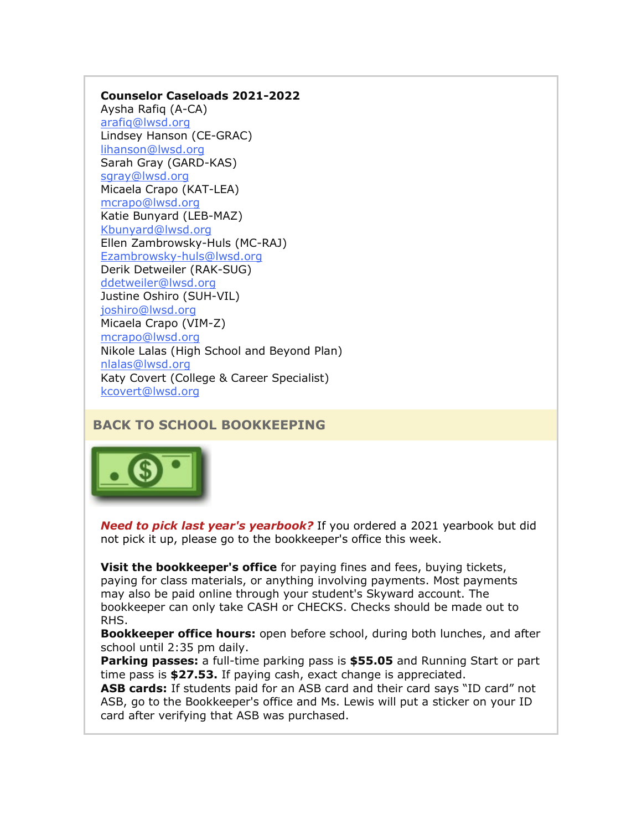#### **Counselor Caseloads 2021-2022**

Aysha Rafiq (A-CA) [arafiq@lwsd.org](mailto:arafiq@lwsd.org) Lindsey Hanson (CE-GRAC) [lihanson@lwsd.org](mailto:lihanson@lwsd.org) Sarah Gray (GARD-KAS) [sgray@lwsd.org](mailto:sgray@lwsd.org) Micaela Crapo (KAT-LEA) [mcrapo@lwsd.org](mailto:mcrapo@lwsd.org) Katie Bunyard (LEB-MAZ) [Kbunyard@lwsd.org](mailto:Kbunyard@lwsd.org) Ellen Zambrowsky-Huls (MC-RAJ) [Ezambrowsky-huls@lwsd.org](mailto:Ezambrowsky-huls@lwsd.org) Derik Detweiler (RAK-SUG) [ddetweiler@lwsd.org](mailto:ddetweiler@lwsd.org) Justine Oshiro (SUH-VIL) [joshiro@lwsd.org](mailto:joshiro@lwsd.org) Micaela Crapo (VIM-Z) [mcrapo@lwsd.org](mailto:mcrapo@lwsd.org) Nikole Lalas (High School and Beyond Plan) [nlalas@lwsd.org](mailto:nlalas@lwsd.org) Katy Covert (College & Career Specialist) [kcovert@lwsd.org](mailto:kcovert@lwsd.org)

# **BACK TO SCHOOL BOOKKEEPING**



*Need to pick last year's yearbook?* If you ordered a 2021 yearbook but did not pick it up, please go to the bookkeeper's office this week.

**Visit the bookkeeper's office** for paying fines and fees, buying tickets, paying for class materials, or anything involving payments. Most payments may also be paid online through your student's Skyward account. The bookkeeper can only take CASH or CHECKS. Checks should be made out to RHS.

**Bookkeeper office hours:** open before school, during both lunches, and after school until 2:35 pm daily.

**Parking passes:** a full-time parking pass is **\$55.05** and Running Start or part time pass is **\$27.53.** If paying cash, exact change is appreciated.

**ASB cards:** If students paid for an ASB card and their card says "ID card" not ASB, go to the Bookkeeper's office and Ms. Lewis will put a sticker on your ID card after verifying that ASB was purchased.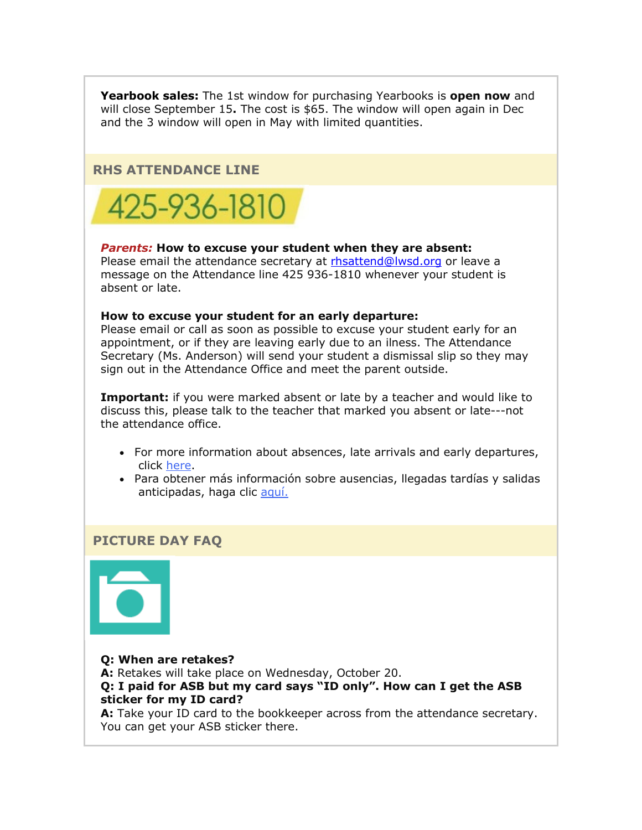**Yearbook sales:** The 1st window for purchasing Yearbooks is **open now** and will close September 15**.** The cost is \$65. The window will open again in Dec and the 3 window will open in May with limited quantities.

#### **RHS ATTENDANCE LINE**



#### *Parents:* **How to excuse your student when they are absent:**

Please email the attendance secretary at [rhsattend@lwsd.org](mailto:rhsattend@lwsd.org) or leave a message on the Attendance line 425 936-1810 whenever your student is absent or late.

#### **How to excuse your student for an early departure:**

Please email or call as soon as possible to excuse your student early for an appointment, or if they are leaving early due to an ilness. The Attendance Secretary (Ms. Anderson) will send your student a dismissal slip so they may sign out in the Attendance Office and meet the parent outside.

**Important:** if you were marked absent or late by a teacher and would like to discuss this, please talk to the teacher that marked you absent or late---not the attendance office.

- For more information about absences, late arrivals and early departures, click [here.](https://nam02.safelinks.protection.outlook.com/?url=http%3A%2F%2Flink.email.dynect.net%2Flink.php%3FDynEngagement%3Dtrue%26H%3DqJ9juQrYQnx6GiLoZRCFRfx5vplALQMA1LebiplKf4hGV%252BKL2V1i%252FpsnU5wziHTky2OAVCYErSQjJNfuPQ8BYABNCx127YhnhfJoZEK8Ld9LqCtbAwVFrg%253D%253D%26G%3D0%26R%3Dhttps%253A%252F%252FRHPLGYZTANA.hatchbuck.com%252FTrackLinkClick%253FID2%253Dr5tT5d5W8nL1kJ2_nnaRvoFNdCFgNoC2pKQTAxT2R2jWdrBmP_F0QufA6x7Qn0LP0%26I%3D20210910220235.000000005bb6%2540mail6-42-ussnn1%26X%3DMHwxMjY0OTIyOjIxODc5NzczMzc7MXwxMjY0OTIzOjE3NDk0OTY2ODs%253D%26V%3D3%26S%3DIcmWJYu87_qyoYbswunSOsEFWv3QVM9aZYPwh-zATZw&data=04%7C01%7Cmwood%40lwsd.org%7C9707f8195e3c4e4c601f08d974a6b7d0%7C1fd4673fdf9646218638a1d88c4c85d7%7C0%7C0%7C637669081689481427%7CUnknown%7CTWFpbGZsb3d8eyJWIjoiMC4wLjAwMDAiLCJQIjoiV2luMzIiLCJBTiI6Ik1haWwiLCJXVCI6Mn0%3D%7C1000&sdata=RjW9hzeZYS6HsPFUnVHqy%2FwEPX4po%2F2X236A59s5GGQ%3D&reserved=0)
- Para obtener más información sobre ausencias, llegadas tardías y salidas anticipadas, haga clic [aquí.](https://nam02.safelinks.protection.outlook.com/?url=http%3A%2F%2Flink.email.dynect.net%2Flink.php%3FDynEngagement%3Dtrue%26H%3DqJ9juQrYQnx6GiLoZRCFRfx5vplALQMA1LebiplKf4hGV%252BKL2V1i%252FpsnU5wziHTky2OAVCYErSQjJNfuPQ8BYABNCx127YhnhfJoZEK8Ld9LqCtbAwVFrg%253D%253D%26G%3D0%26R%3Dhttps%253A%252F%252FRHPLGYZTANA.hatchbuck.com%252FTrackLinkClick%253FID2%253DED7s4kcK47IKmkN-iu4TASIrTW7X-rcs_oyAg0nRlMPzYPzLIMbxRVlXR68GilHt0%26I%3D20210910220235.000000005bb6%2540mail6-42-ussnn1%26X%3DMHwxMjY0OTIyOjIxODc5NzczMzc7MXwxMjY0OTIzOjE3NDk0OTY2ODs%253D%26V%3D3%26S%3DcbbN1wiyfRjnZM07yErSQ8XHHelThkHQipZkc2w7TXk&data=04%7C01%7Cmwood%40lwsd.org%7C9707f8195e3c4e4c601f08d974a6b7d0%7C1fd4673fdf9646218638a1d88c4c85d7%7C0%7C0%7C637669081689481427%7CUnknown%7CTWFpbGZsb3d8eyJWIjoiMC4wLjAwMDAiLCJQIjoiV2luMzIiLCJBTiI6Ik1haWwiLCJXVCI6Mn0%3D%7C1000&sdata=8iL9hKrda22ivLp7Nu9VW%2BrSI1EaiQBqcref1pfEMxE%3D&reserved=0)

#### **PICTURE DAY FAQ**



**Q: When are retakes? A:** Retakes will take place on Wednesday, October 20. **Q: I paid for ASB but my card says "ID only". How can I get the ASB sticker for my ID card?**

**A:** Take your ID card to the bookkeeper across from the attendance secretary. You can get your ASB sticker there.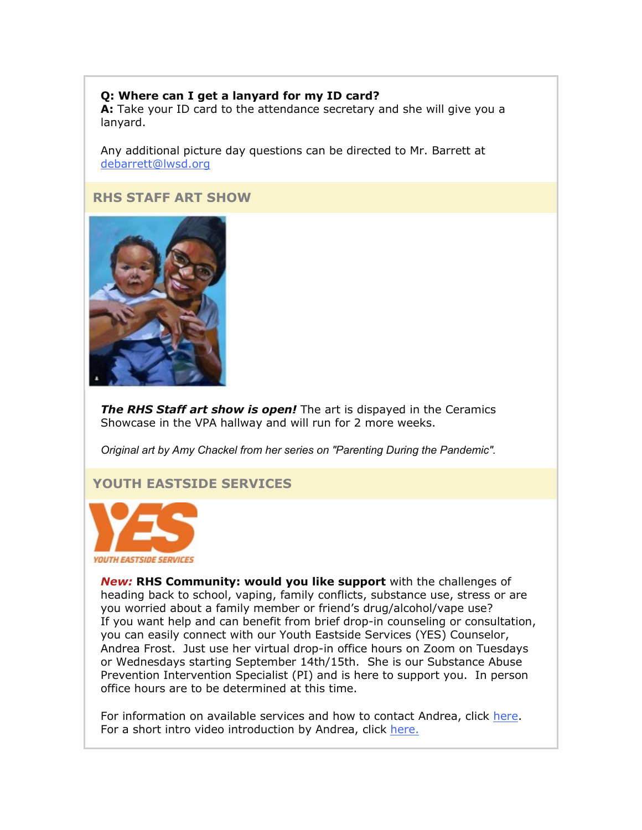## **Q: Where can I get a lanyard for my ID card?**

**A:** Take your ID card to the attendance secretary and she will give you a lanyard.

Any additional picture day questions can be directed to Mr. Barrett at [debarrett@lwsd.org](mailto:debarrett@lwsd.org)

### **RHS STAFF ART SHOW**



*The RHS Staff art show is open!* The art is dispayed in the Ceramics Showcase in the VPA hallway and will run for 2 more weeks.

*Original art by Amy Chackel from her series on "Parenting During the Pandemic".*

# **YOUTH EASTSIDE SERVICES**



*New:* **RHS Community: would you like support** with the challenges of heading back to school, vaping, family conflicts, substance use, stress or are you worried about a family member or friend's drug/alcohol/vape use? If you want help and can benefit from brief drop-in counseling or consultation, you can easily connect with our Youth Eastside Services (YES) Counselor, Andrea Frost. Just use her virtual drop-in office hours on Zoom on Tuesdays or Wednesdays starting September 14th/15th. She is our Substance Abuse Prevention Intervention Specialist (PI) and is here to support you. In person office hours are to be determined at this time.

For information on available services and how to contact Andrea, click [here.](https://nam02.safelinks.protection.outlook.com/?url=http%3A%2F%2Flink.email.dynect.net%2Flink.php%3FDynEngagement%3Dtrue%26H%3DqJ9juQrYQnx6GiLoZRCFRfx5vplALQMA1LebiplKf4hGV%252BKL2V1i%252FpsnU5wziHTky2OAVCYErSQjJNfuPQ8BYABNCx127YhnhfJoZEK8Ld9LqCtbAwVFrg%253D%253D%26G%3D0%26R%3Dhttps%253A%252F%252FRHPLGYZTANA.hatchbuck.com%252FTrackLinkClick%253FID2%253D-ydbcKW_sT6OrjrN0pevK3WYblimATVgRWoCHpeL7x2u4Ah8leRCIMI3iePEcvZE0%26I%3D20210910220235.000000005bb6%2540mail6-42-ussnn1%26X%3DMHwxMjY0OTIyOjIxODc5NzczMzc7MXwxMjY0OTIzOjE3NDk0OTY2ODs%253D%26V%3D3%26S%3D6rypW7RqkuyOLBcBanR3gCMJFf_YBRICRSV_pm3bPoM&data=04%7C01%7Cmwood%40lwsd.org%7C9707f8195e3c4e4c601f08d974a6b7d0%7C1fd4673fdf9646218638a1d88c4c85d7%7C0%7C0%7C637669081689491417%7CUnknown%7CTWFpbGZsb3d8eyJWIjoiMC4wLjAwMDAiLCJQIjoiV2luMzIiLCJBTiI6Ik1haWwiLCJXVCI6Mn0%3D%7C1000&sdata=W%2F6SEitCcNdQ6Es2SwUW2kjQ1qdJbe2OzvYP7CRS9eQ%3D&reserved=0) For a short intro video introduction by Andrea, click [here.](https://nam02.safelinks.protection.outlook.com/?url=http%3A%2F%2Flink.email.dynect.net%2Flink.php%3FDynEngagement%3Dtrue%26H%3DqJ9juQrYQnx6GiLoZRCFRfx5vplALQMA1LebiplKf4hGV%252BKL2V1i%252FpsnU5wziHTky2OAVCYErSQjJNfuPQ8BYABNCx127YhnhfJoZEK8Ld9LqCtbAwVFrg%253D%253D%26G%3D0%26R%3Dhttps%253A%252F%252FRHPLGYZTANA.hatchbuck.com%252FTrackLinkClick%253FID2%253D7o1BBDqlTBtX_qBHNF3HgaBL32JY9e1Uno189n_t031d_fe4jJo365rpO417gqip0%26I%3D20210910220235.000000005bb6%2540mail6-42-ussnn1%26X%3DMHwxMjY0OTIyOjIxODc5NzczMzc7MXwxMjY0OTIzOjE3NDk0OTY2ODs%253D%26V%3D3%26S%3D1U98N0prGkSIgxGU8NwxF0e9JWkHcjCZjwmCF-AXkq0&data=04%7C01%7Cmwood%40lwsd.org%7C9707f8195e3c4e4c601f08d974a6b7d0%7C1fd4673fdf9646218638a1d88c4c85d7%7C0%7C0%7C637669081689501408%7CUnknown%7CTWFpbGZsb3d8eyJWIjoiMC4wLjAwMDAiLCJQIjoiV2luMzIiLCJBTiI6Ik1haWwiLCJXVCI6Mn0%3D%7C1000&sdata=aUyowvHSigf6VFaJidK20%2FEuFTQ90BOqvln88%2FHrR7w%3D&reserved=0)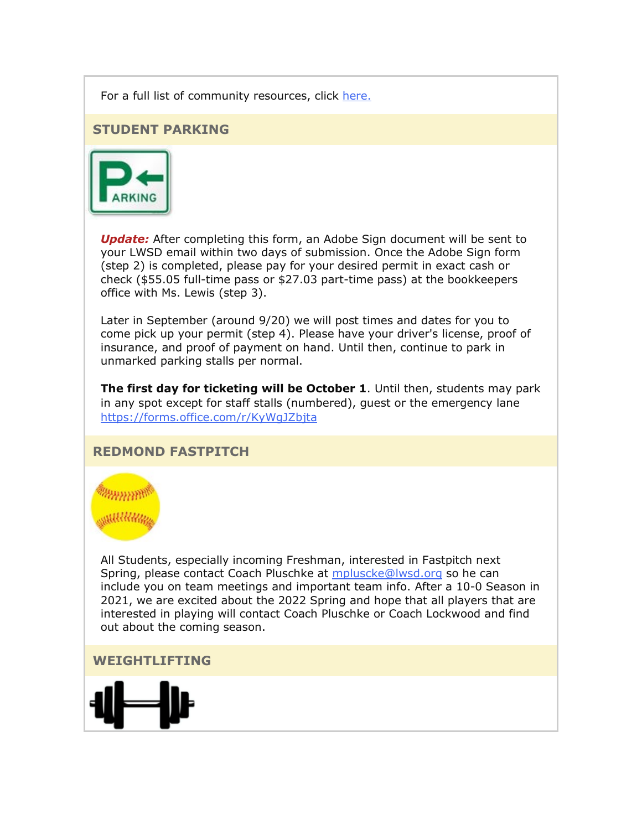For a full list of community resources, click [here.](https://nam02.safelinks.protection.outlook.com/?url=http%3A%2F%2Flink.email.dynect.net%2Flink.php%3FDynEngagement%3Dtrue%26H%3DqJ9juQrYQnx6GiLoZRCFRfx5vplALQMA1LebiplKf4hGV%252BKL2V1i%252FpsnU5wziHTky2OAVCYErSQjJNfuPQ8BYABNCx127YhnhfJoZEK8Ld9LqCtbAwVFrg%253D%253D%26G%3D0%26R%3Dhttps%253A%252F%252FRHPLGYZTANA.hatchbuck.com%252FTrackLinkClick%253FID2%253DMFxBkUt18esrBlfHskA8Tz1pQm7ivJBTkiSZvL1yDJ7AuNT4JlYe8zWRVNkNMvsP0%26I%3D20210910220235.000000005bb6%2540mail6-42-ussnn1%26X%3DMHwxMjY0OTIyOjIxODc5NzczMzc7MXwxMjY0OTIzOjE3NDk0OTY2ODs%253D%26V%3D3%26S%3DHEAxJTbWFpfWn1zT5RprXfuXxNGVBRVCckcmRAbLWj4&data=04%7C01%7Cmwood%40lwsd.org%7C9707f8195e3c4e4c601f08d974a6b7d0%7C1fd4673fdf9646218638a1d88c4c85d7%7C0%7C0%7C637669081689501408%7CUnknown%7CTWFpbGZsb3d8eyJWIjoiMC4wLjAwMDAiLCJQIjoiV2luMzIiLCJBTiI6Ik1haWwiLCJXVCI6Mn0%3D%7C1000&sdata=s4l3%2BwniC4e4V5%2BPCNMRiQnro%2Fx8JTlTf8pkWg%2FVovI%3D&reserved=0)

#### **STUDENT PARKING**



*Update:* After completing this form, an Adobe Sign document will be sent to your LWSD email within two days of submission. Once the Adobe Sign form (step 2) is completed, please pay for your desired permit in exact cash or check (\$55.05 full-time pass or \$27.03 part-time pass) at the bookkeepers office with Ms. Lewis (step 3).

Later in September (around 9/20) we will post times and dates for you to come pick up your permit (step 4). Please have your driver's license, proof of insurance, and proof of payment on hand. Until then, continue to park in unmarked parking stalls per normal.

**The first day for ticketing will be October 1**. Until then, students may park in any spot except for staff stalls (numbered), guest or the emergency lane [https://forms.office.com/r/KyWgJZbjta](https://nam02.safelinks.protection.outlook.com/?url=http%3A%2F%2Flink.email.dynect.net%2Flink.php%3FDynEngagement%3Dtrue%26H%3DqJ9juQrYQnx6GiLoZRCFRfx5vplALQMA1LebiplKf4hGV%252BKL2V1i%252FpsnU5wziHTky2OAVCYErSQjJNfuPQ8BYABNCx127YhnhfJoZEK8Ld9LqCtbAwVFrg%253D%253D%26G%3D0%26R%3Dhttps%253A%252F%252FRHPLGYZTANA.hatchbuck.com%252FTrackLinkClick%253FID2%253DCqHYnJ5PfwNbckZnkFpFm871QYsBb9h8rCRBmcL-aRY-5yEwoXArv2YEcNGHRbqb0%26I%3D20210910220235.000000005bb6%2540mail6-42-ussnn1%26X%3DMHwxMjY0OTIyOjIxODc5NzczMzc7MXwxMjY0OTIzOjE3NDk0OTY2ODs%253D%26V%3D3%26S%3DlXx21JNYV70oWfHZ_her4k3aKVQXKl-77HlBIMMoa50&data=04%7C01%7Cmwood%40lwsd.org%7C9707f8195e3c4e4c601f08d974a6b7d0%7C1fd4673fdf9646218638a1d88c4c85d7%7C0%7C0%7C637669081689511405%7CUnknown%7CTWFpbGZsb3d8eyJWIjoiMC4wLjAwMDAiLCJQIjoiV2luMzIiLCJBTiI6Ik1haWwiLCJXVCI6Mn0%3D%7C1000&sdata=Bkjjir9lrMiUT%2BCCIr02LRpMKvXrRNr3AJhRvI9W4DQ%3D&reserved=0)

### **REDMOND FASTPITCH**



All Students, especially incoming Freshman, interested in Fastpitch next Spring, please contact Coach Pluschke at [mpluscke@lwsd.org](mailto:mpluscke@lwsd.org) so he can include you on team meetings and important team info. After a 10-0 Season in 2021, we are excited about the 2022 Spring and hope that all players that are interested in playing will contact Coach Pluschke or Coach Lockwood and find out about the coming season.

**WEIGHTLIFTING**

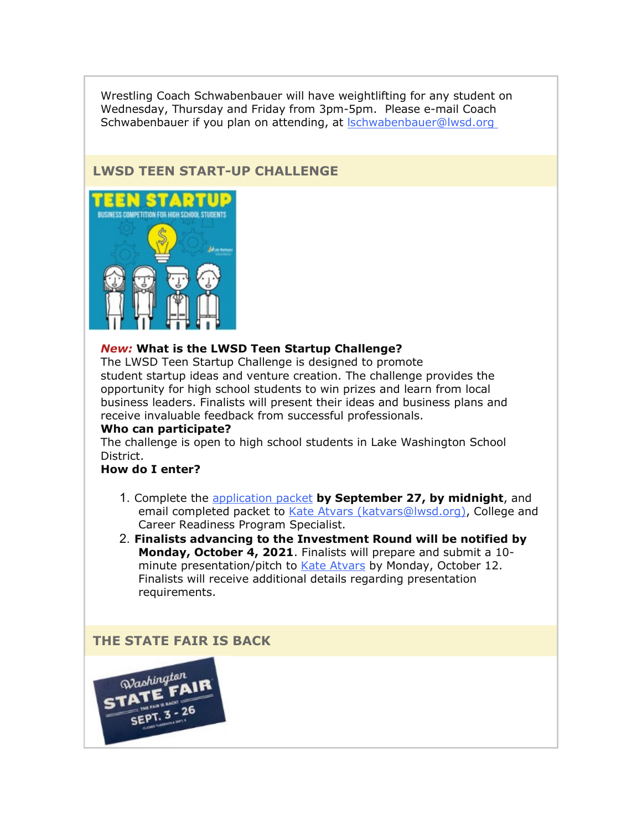Wrestling Coach Schwabenbauer will have weightlifting for any student on Wednesday, Thursday and Friday from 3pm-5pm. Please e-mail Coach Schwabenbauer if you plan on attending, at [lschwabenbauer@lwsd.org](mailto:lschwabenbauer@lwsd.org)

# **LWSD TEEN START-UP CHALLENGE**



#### *New:* **What is the LWSD Teen Startup Challenge?**

The LWSD Teen Startup Challenge is designed to promote student startup ideas and venture creation. The challenge provides the opportunity for high school students to win prizes and learn from local business leaders. Finalists will present their ideas and business plans and receive invaluable feedback from successful professionals.

#### **Who can participate?**

The challenge is open to high school students in Lake Washington School District.

## **How do I enter?**

- 1. Complete the [application packet](https://nam02.safelinks.protection.outlook.com/?url=http%3A%2F%2Flink.email.dynect.net%2Flink.php%3FDynEngagement%3Dtrue%26H%3DqJ9juQrYQnx6GiLoZRCFRfx5vplALQMA1LebiplKf4hGV%252BKL2V1i%252FpsnU5wziHTky2OAVCYErSQjJNfuPQ8BYABNCx127YhnhfJoZEK8Ld9LqCtbAwVFrg%253D%253D%26G%3D0%26R%3Dhttps%253A%252F%252FRHPLGYZTANA.hatchbuck.com%252FTrackLinkClick%253FID2%253DDm5xyQrw-QTQczzNxvy31yDI1TIGpoinDGP3I-KUxmz1eBArqUiSTqf9a1refpCS0%26I%3D20210910220235.000000005bb6%2540mail6-42-ussnn1%26X%3DMHwxMjY0OTIyOjIxODc5NzczMzc7MXwxMjY0OTIzOjE3NDk0OTY2ODs%253D%26V%3D3%26S%3DiJQaXIchqgN0_ZoCdRhwPUUyLPGvuKcbmS94umE5lhg&data=04%7C01%7Cmwood%40lwsd.org%7C9707f8195e3c4e4c601f08d974a6b7d0%7C1fd4673fdf9646218638a1d88c4c85d7%7C0%7C0%7C637669081689511405%7CUnknown%7CTWFpbGZsb3d8eyJWIjoiMC4wLjAwMDAiLCJQIjoiV2luMzIiLCJBTiI6Ik1haWwiLCJXVCI6Mn0%3D%7C1000&sdata=gw%2B9nWZrLGXVulMoypygvxhSNwxuO%2FYO7bAeQQ%2FyiJY%3D&reserved=0) **by September 27, by midnight**, and email completed packet to [Kate Atvars \(katvars@lwsd.org\),](mailto:katvars@lwsd.org) College and Career Readiness Program Specialist.
- 2. **Finalists advancing to the Investment Round will be notified by Monday, October 4, 2021**. Finalists will prepare and submit a 10- minute presentation/pitch to [Kate Atvars](mailto:katvars@lwsd.org) by Monday, October 12. Finalists will receive additional details regarding presentation requirements.

#### **THE STATE FAIR IS BACK**

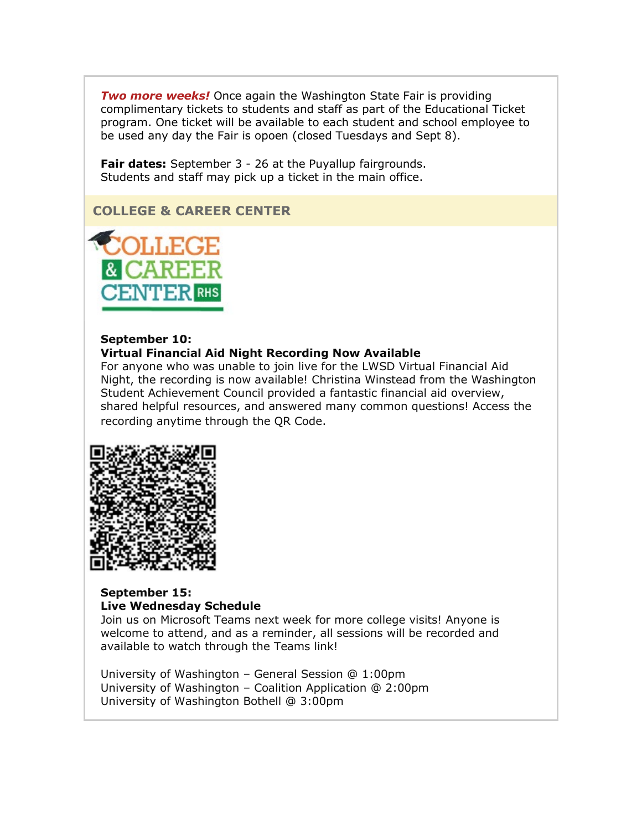*Two more weeks!* Once again the Washington State Fair is providing complimentary tickets to students and staff as part of the Educational Ticket program. One ticket will be available to each student and school employee to be used any day the Fair is opoen (closed Tuesdays and Sept 8).

**Fair dates:** September 3 - 26 at the Puyallup fairgrounds. Students and staff may pick up a ticket in the main office.

# **COLLEGE & CAREER CENTER**



#### **September 10:**

#### **Virtual Financial Aid Night Recording Now Available**

For anyone who was unable to join live for the LWSD Virtual Financial Aid Night, the recording is now available! Christina Winstead from the Washington Student Achievement Council provided a fantastic financial aid overview, shared helpful resources, and answered many common questions! Access the recording anytime through the QR Code.



#### **September 15: Live Wednesday Schedule**

Join us on Microsoft Teams next week for more college visits! Anyone is welcome to attend, and as a reminder, all sessions will be recorded and available to watch through the Teams link!

University of Washington – General Session @ 1:00pm University of Washington – Coalition Application @ 2:00pm University of Washington Bothell @ 3:00pm